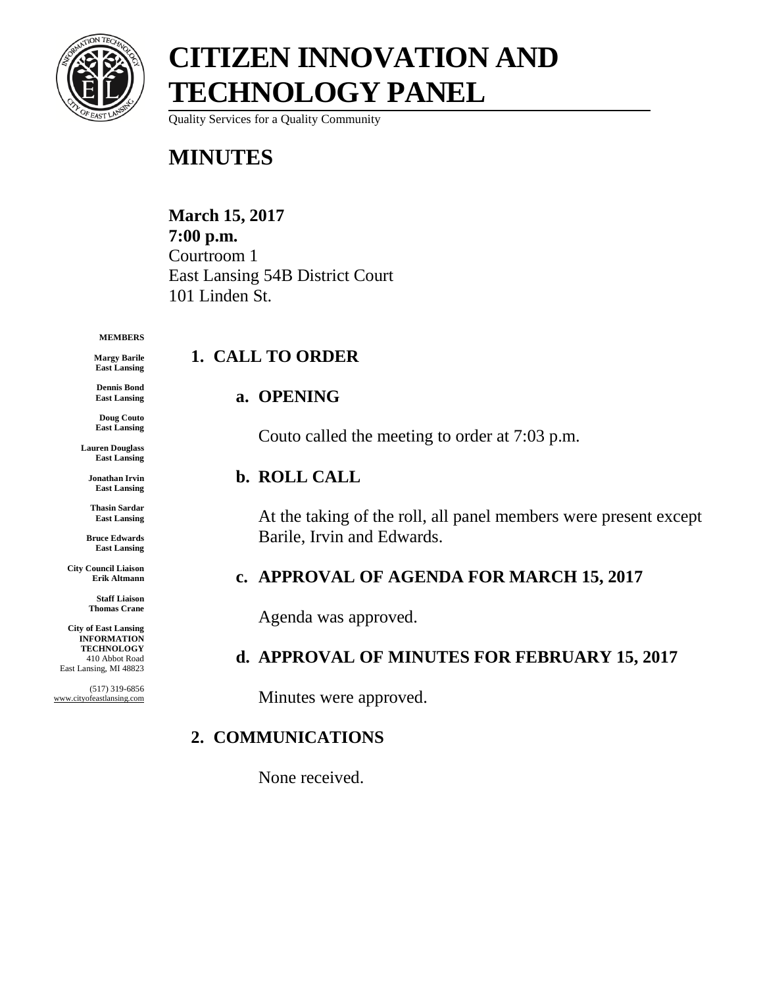

## **CITIZEN INNOVATION AND TECHNOLOGY PANEL**

Quality Services for a Quality Community

### **MINUTES**

#### **March 15, 2017 7:00 p.m.** Courtroom 1 East Lansing 54B District Court 101 Linden St.

#### **MEMBERS**

**Margy Barile East Lansing**

**Dennis Bond East Lansing**

**Doug Couto East Lansing**

**Lauren Douglass East Lansing**

**Jonathan Irvin East Lansing**

**Thasin Sardar East Lansing**

**Bruce Edwards East Lansing**

**City Council Liaison Erik Altmann**

> **Staff Liaison Thomas Crane**

**City of East Lansing INFORMATION TECHNOLOGY** 410 Abbot Road East Lansing, MI 48823

(517) 319-6856 www.cityofeastlansing.com

# **1. CALL TO ORDER**

#### **a. OPENING**

Couto called the meeting to order at 7:03 p.m.

#### **b. ROLL CALL**

At the taking of the roll, all panel members were present except Barile, Irvin and Edwards.

#### **c. APPROVAL OF AGENDA FOR MARCH 15, 2017**

Agenda was approved.

#### **d. APPROVAL OF MINUTES FOR FEBRUARY 15, 2017**

Minutes were approved.

#### **2. COMMUNICATIONS**

None received.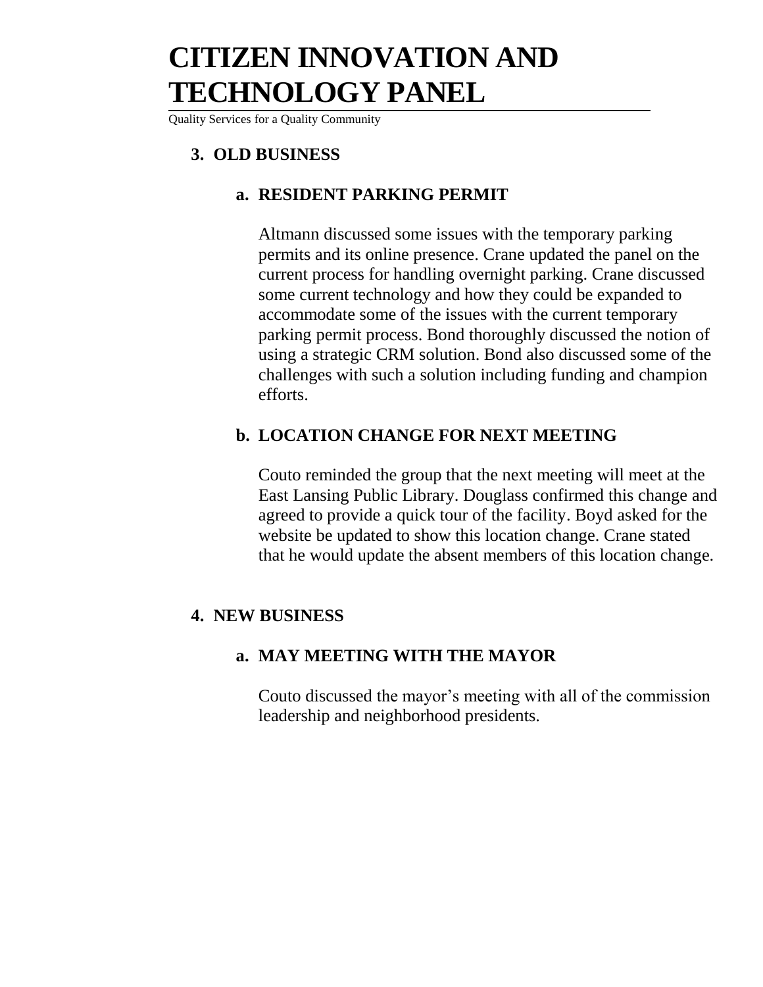### **CITIZEN INNOVATION AND TECHNOLOGY PANEL**

Quality Services for a Quality Community

#### **3. OLD BUSINESS**

#### **a. RESIDENT PARKING PERMIT**

Altmann discussed some issues with the temporary parking permits and its online presence. Crane updated the panel on the current process for handling overnight parking. Crane discussed some current technology and how they could be expanded to accommodate some of the issues with the current temporary parking permit process. Bond thoroughly discussed the notion of using a strategic CRM solution. Bond also discussed some of the challenges with such a solution including funding and champion efforts.

#### **b. LOCATION CHANGE FOR NEXT MEETING**

Couto reminded the group that the next meeting will meet at the East Lansing Public Library. Douglass confirmed this change and agreed to provide a quick tour of the facility. Boyd asked for the website be updated to show this location change. Crane stated that he would update the absent members of this location change.

#### **4. NEW BUSINESS**

#### **a. MAY MEETING WITH THE MAYOR**

Couto discussed the mayor's meeting with all of the commission leadership and neighborhood presidents.